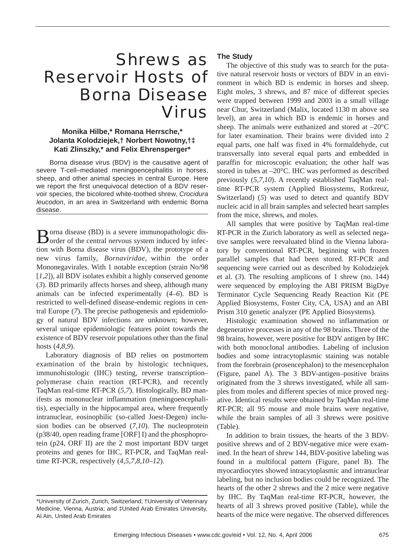## Shrews as Reservoir Hosts of Borna Disease Virus

### **Monika Hilbe,\* Romana Herrsche,\* Jolanta Kolodziejek,† Norbert Nowotny,†‡ Kati Zlinszky,\* and Felix Ehrensperger\***

Borna disease virus (BDV) is the causative agent of severe T-cell–mediated meningoencephalitis in horses, sheep, and other animal species in central Europe. Here we report the first unequivocal detection of a BDV reservoir species, the bicolored white-toothed shrew, *Crocidura leucodon*, in an area in Switzerland with endemic Borna disease.

Borna disease (BD) is a severe immunopathologic dis-<br>
order of the central nervous system induced by infection with Borna disease virus (BDV), the prototype of a new virus family, *Bornaviridae*, within the order Mononegavirales. With 1 notable exception (strain No/98 [*1,2*]), all BDV isolates exhibit a highly conserved genome (*3*). BD primarily affects horses and sheep, although many animals can be infected experimentally (*4–6*). BD is restricted to well-defined disease-endemic regions in central Europe (*7*). The precise pathogenesis and epidemiology of natural BDV infections are unknown; however, several unique epidemiologic features point towards the existence of BDV reservoir populations other than the final hosts (*4,8,9*).

Laboratory diagnosis of BD relies on postmortem examination of the brain by histologic techniques, immunohistologic (IHC) testing, reverse transcription– polymerase chain reaction (RT-PCR), and recently TaqMan real-time RT-PCR (*5,7*). Histologically, BD manifests as mononuclear inflammation (meningoencephalitis), especially in the hippocampal area, where frequently intranuclear, eosinophilic (so-called Joest-Degen) inclusion bodies can be observed (*7,10*). The nucleoprotein (p38/40, open reading frame [ORF] I) and the phosphoprotein (p24, ORF II) are the 2 most important BDV target proteins and genes for IHC, RT-PCR, and TaqMan realtime RT-PCR, respectively (*4,5,7,8,10–12*).

## **The Study**

The objective of this study was to search for the putative natural reservoir hosts or vectors of BDV in an environment in which BD is endemic in horses and sheep. Eight moles, 3 shrews, and 87 mice of different species were trapped between 1999 and 2003 in a small village near Chur, Switzerland (Malix, located 1130 m above sea level), an area in which BD is endemic in horses and sheep. The animals were euthanized and stored at  $-20^{\circ}$ C for later examination. Their brains were divided into 2 equal parts, one half was fixed in 4% formaldehyde, cut transversally into several equal parts and embedded in paraffin for microscopic evaluation; the other half was stored in tubes at –20°C. IHC was performed as described previously (*5,7,10*). A recently established TaqMan realtime RT-PCR system (Applied Biosystems, Rotkreuz, Switzerland) (*5*) was used to detect and quantify BDV nucleic acid in all brain samples and selected heart samples from the mice, shrews, and moles.

All samples that were positive by TaqMan real-time RT-PCR in the Zurich laboratory as well as selected negative samples were reevaluated blind in the Vienna laboratory by conventional RT-PCR, beginning with frozen parallel samples that had been stored. RT-PCR and sequencing were carried out as described by Kolodziejek et al. (*3*). The resulting amplicons of 1 shrew (no. 144) were sequenced by employing the ABI PRISM BigDye Terminator Cycle Sequencing Ready Reaction Kit (PE Applied Biosystems, Foster City, CA, USA) and an ABI Prism 310 genetic analyzer (PE Applied Biosystems).

Histologic examination showed no inflammation or degenerative processes in any of the 98 brains. Three of the 98 brains, however, were positive for BDV antigen by IHC with both monoclonal antibodies. Labeling of inclusion bodies and some intracytoplasmic staining was notable from the forebrain (prosencephalon) to the mesencephalon (Figure, panel A). The 3 BDV-antigen–positive brains originated from the 3 shrews investigated, while all samples from moles and different species of mice proved negative. Identical results were obtained by TaqMan real-time RT-PCR; all 95 mouse and mole brains were negative, while the brain samples of all 3 shrews were positive (Table).

In addition to brain tissues, the hearts of the 3 BDVpositive shrews and of 2 BDV-negative mice were examined. In the heart of shrew 144, BDV-positive labeling was found in a multifocal pattern (Figure, panel B). The myocardiocytes showed intracytoplasmic and intranuclear labeling, but no inclusion bodies could be recognized. The hearts of the other 2 shrews and the 2 mice were negative by IHC. By TaqMan real-time RT-PCR, however, the hearts of all 3 shrews proved positive (Table), while the hearts of the mice were negative. The observed differences

<sup>\*</sup>University of Zurich, Zurich, Switzerland; †University of Veterinary Medicine, Vienna, Austria; and ‡United Arab Emirates University, Al Ain, United Arab Emirates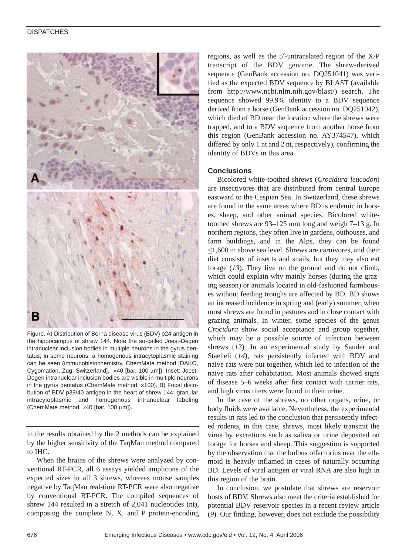

Figure. A) Distribution of Borna disease virus (BDV) p24 antigen in the hippocampus of shrew 144. Note the so-called Joest-Degen intranuclear inclusion bodies in multiple neurons in the gyrus dentatus; in some neurons, a homogenous intracytoplasmic staining can be seen (immunohistochemistry, ChemMate method [DAKO, Cygomation, Zug, Switzerland], ×40 [bar, 100 µm]). Inset: Joest-Degen intranuclear inclusion bodies are visible in multiple neurons in the gyrus dentatus (ChemMate method,  $\times$ 100). B) Focal distribution of BDV p38/40 antigen in the heart of shrew 144: granular intracytoplasmic and homogenous intranuclear labeling (ChemMate method, ×40 [bar, 100 µm]).

in the results obtained by the 2 methods can be explained by the higher sensitivity of the TaqMan method compared to IHC.

When the brains of the shrews were analyzed by conventional RT-PCR, all 6 assays yielded amplicons of the expected sizes in all 3 shrews, whereas mouse samples negative by TaqMan real-time RT-PCR were also negative by conventional RT-PCR. The compiled sequences of shrew 144 resulted in a stretch of 2,041 nucleotides (nt), composing the complete N, X, and P protein-encoding

regions, as well as the 5′-untranslated region of the X/P transcript of the BDV genome. The shrew-derived sequence (GenBank accession no. DQ251041) was verified as the expected BDV sequence by BLAST (available from http://www.ncbi.nlm.nih.gov/blast/) search. The sequence showed 99.9% identity to a BDV sequence derived from a horse (GenBank accession no. DQ251042), which died of BD near the location where the shrews were trapped, and to a BDV sequence from another horse from this region (GenBank accession no. AY374547), which differed by only 1 nt and 2 nt, respectively), confirming the identity of BDVs in this area.

### **Conclusions**

Bicolored white-toothed shrews (*Crocidura leucodon*) are insectivores that are distributed from central Europe eastward to the Caspian Sea. In Switzerland, these shrews are found in the same areas where BD is endemic in horses, sheep, and other animal species. Bicolored whitetoothed shrews are 93–125 mm long and weigh 7–13 g. In northern regions, they often live in gardens, outhouses, and farm buildings, and in the Alps, they can be found  $\leq$ 1,600 m above sea level. Shrews are carnivores, and their diet consists of insects and snails, but they may also eat forage (*13*). They live on the ground and do not climb, which could explain why mainly horses (during the grazing season) or animals located in old-fashioned farmhouses without feeding troughs are affected by BD. BD shows an increased incidence in spring and (early) summer, when most shrews are found in pastures and in close contact with grazing animals. In winter, some species of the genus *Crocidura* show social acceptance and group together, which may be a possible source of infection between shrews (*13*). In an experimental study by Sauder and Staeheli (*14*), rats persistently infected with BDV and naive rats were put together, which led to infection of the naive rats after cohabitation. Most animals showed signs of disease 5–6 weeks after first contact with carrier rats, and high virus titers were found in their urine.

In the case of the shrews, no other organs, urine, or body fluids were available. Nevertheless, the experimental results in rats led to the conclusion that persistently infected rodents, in this case, shrews, most likely transmit the virus by excretions such as saliva or urine deposited on forage for horses and sheep. This suggestion is supported by the observation that the bulbus olfactorius near the ethmoid is heavily inflamed in cases of naturally occurring BD. Levels of viral antigen or viral RNA are also high in this region of the brain.

In conclusion, we postulate that shrews are reservoir hosts of BDV. Shrews also meet the criteria established for potential BDV reservoir species in a recent review article (*9*). Our finding, however, does not exclude the possibility